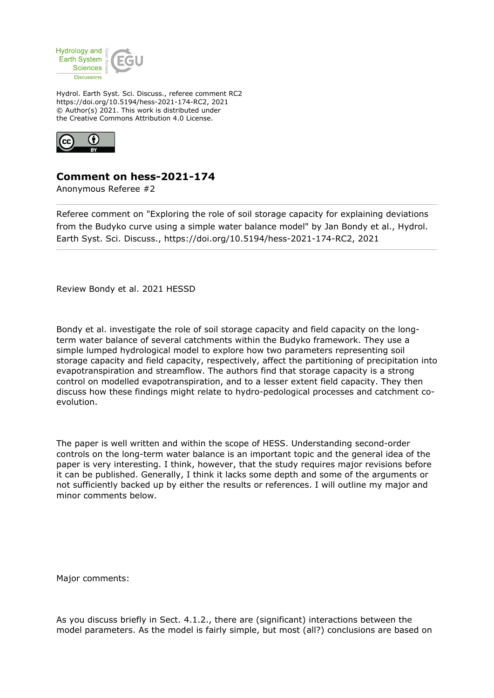

Hydrol. Earth Syst. Sci. Discuss., referee comment RC2 https://doi.org/10.5194/hess-2021-174-RC2, 2021 © Author(s) 2021. This work is distributed under the Creative Commons Attribution 4.0 License.



## **Comment on hess-2021-174**

Anonymous Referee #2

Referee comment on "Exploring the role of soil storage capacity for explaining deviations from the Budyko curve using a simple water balance model" by Jan Bondy et al., Hydrol. Earth Syst. Sci. Discuss., https://doi.org/10.5194/hess-2021-174-RC2, 2021

Review Bondy et al. 2021 HESSD

Bondy et al. investigate the role of soil storage capacity and field capacity on the longterm water balance of several catchments within the Budyko framework. They use a simple lumped hydrological model to explore how two parameters representing soil storage capacity and field capacity, respectively, affect the partitioning of precipitation into evapotranspiration and streamflow. The authors find that storage capacity is a strong control on modelled evapotranspiration, and to a lesser extent field capacity. They then discuss how these findings might relate to hydro-pedological processes and catchment coevolution.

The paper is well written and within the scope of HESS. Understanding second-order controls on the long-term water balance is an important topic and the general idea of the paper is very interesting. I think, however, that the study requires major revisions before it can be published. Generally, I think it lacks some depth and some of the arguments or not sufficiently backed up by either the results or references. I will outline my major and minor comments below.

Major comments:

As you discuss briefly in Sect. 4.1.2., there are (significant) interactions between the model parameters. As the model is fairly simple, but most (all?) conclusions are based on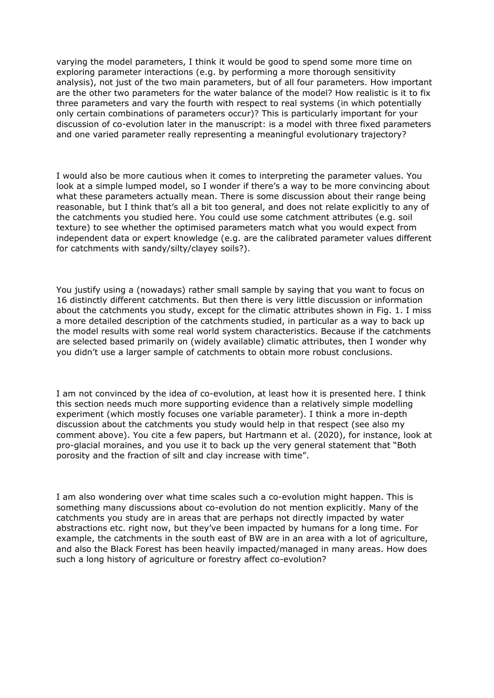varying the model parameters, I think it would be good to spend some more time on exploring parameter interactions (e.g. by performing a more thorough sensitivity analysis), not just of the two main parameters, but of all four parameters. How important are the other two parameters for the water balance of the model? How realistic is it to fix three parameters and vary the fourth with respect to real systems (in which potentially only certain combinations of parameters occur)? This is particularly important for your discussion of co-evolution later in the manuscript: is a model with three fixed parameters and one varied parameter really representing a meaningful evolutionary trajectory?

I would also be more cautious when it comes to interpreting the parameter values. You look at a simple lumped model, so I wonder if there's a way to be more convincing about what these parameters actually mean. There is some discussion about their range being reasonable, but I think that's all a bit too general, and does not relate explicitly to any of the catchments you studied here. You could use some catchment attributes (e.g. soil texture) to see whether the optimised parameters match what you would expect from independent data or expert knowledge (e.g. are the calibrated parameter values different for catchments with sandy/silty/clayey soils?).

You justify using a (nowadays) rather small sample by saying that you want to focus on 16 distinctly different catchments. But then there is very little discussion or information about the catchments you study, except for the climatic attributes shown in Fig. 1. I miss a more detailed description of the catchments studied, in particular as a way to back up the model results with some real world system characteristics. Because if the catchments are selected based primarily on (widely available) climatic attributes, then I wonder why you didn't use a larger sample of catchments to obtain more robust conclusions.

I am not convinced by the idea of co-evolution, at least how it is presented here. I think this section needs much more supporting evidence than a relatively simple modelling experiment (which mostly focuses one variable parameter). I think a more in-depth discussion about the catchments you study would help in that respect (see also my comment above). You cite a few papers, but Hartmann et al. (2020), for instance, look at pro-glacial moraines, and you use it to back up the very general statement that "Both porosity and the fraction of silt and clay increase with time".

I am also wondering over what time scales such a co-evolution might happen. This is something many discussions about co-evolution do not mention explicitly. Many of the catchments you study are in areas that are perhaps not directly impacted by water abstractions etc. right now, but they've been impacted by humans for a long time. For example, the catchments in the south east of BW are in an area with a lot of agriculture, and also the Black Forest has been heavily impacted/managed in many areas. How does such a long history of agriculture or forestry affect co-evolution?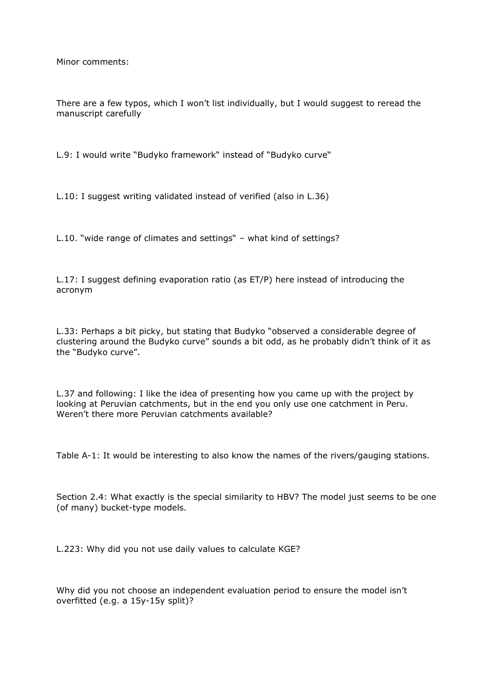Minor comments:

There are a few typos, which I won't list individually, but I would suggest to reread the manuscript carefully

L.9: I would write "Budyko framework" instead of "Budyko curve"

L.10: I suggest writing validated instead of verified (also in L.36)

L.10. "wide range of climates and settings" – what kind of settings?

L.17: I suggest defining evaporation ratio (as ET/P) here instead of introducing the acronym

L.33: Perhaps a bit picky, but stating that Budyko "observed a considerable degree of clustering around the Budyko curve" sounds a bit odd, as he probably didn't think of it as the "Budyko curve".

L.37 and following: I like the idea of presenting how you came up with the project by looking at Peruvian catchments, but in the end you only use one catchment in Peru. Weren't there more Peruvian catchments available?

Table A-1: It would be interesting to also know the names of the rivers/gauging stations.

Section 2.4: What exactly is the special similarity to HBV? The model just seems to be one (of many) bucket-type models.

L.223: Why did you not use daily values to calculate KGE?

Why did you not choose an independent evaluation period to ensure the model isn't overfitted (e.g. a 15y-15y split)?